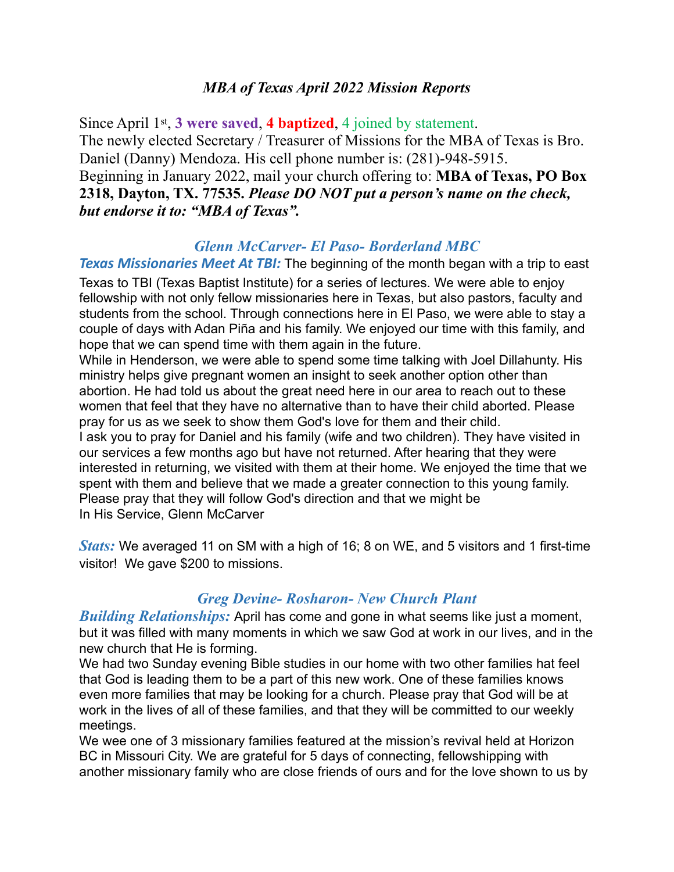### *MBA of Texas April 2022 Mission Reports*

Since April 1st, **3 were saved**, **4 baptized**, 4 joined by statement. The newly elected Secretary / Treasurer of Missions for the MBA of Texas is Bro. Daniel (Danny) Mendoza. His cell phone number is: (281)-948-5915. Beginning in January 2022, mail your church offering to: **MBA of Texas, PO Box 2318, Dayton, TX. 77535.** *Please DO NOT put a person's name on the check, but endorse it to: "MBA of Texas".* 

#### *Glenn McCarver- El Paso- Borderland MBC*

**Texas Missionaries Meet At TBI:** The beginning of the month began with a trip to east

Texas to TBI (Texas Baptist Institute) for a series of lectures. We were able to enjoy fellowship with not only fellow missionaries here in Texas, but also pastors, faculty and students from the school. Through connections here in El Paso, we were able to stay a couple of days with Adan Piña and his family. We enjoyed our time with this family, and hope that we can spend time with them again in the future.

While in Henderson, we were able to spend some time talking with Joel Dillahunty. His ministry helps give pregnant women an insight to seek another option other than abortion. He had told us about the great need here in our area to reach out to these women that feel that they have no alternative than to have their child aborted. Please pray for us as we seek to show them God's love for them and their child.

I ask you to pray for Daniel and his family (wife and two children). They have visited in our services a few months ago but have not returned. After hearing that they were interested in returning, we visited with them at their home. We enjoyed the time that we spent with them and believe that we made a greater connection to this young family. Please pray that they will follow God's direction and that we might be In His Service, Glenn McCarver

*Stats:* We averaged 11 on SM with a high of 16; 8 on WE, and 5 visitors and 1 first-time visitor! We gave \$200 to missions.

### *Greg Devine- Rosharon- New Church Plant*

*Building Relationships:* April has come and gone in what seems like just a moment, but it was filled with many moments in which we saw God at work in our lives, and in the new church that He is forming.

We had two Sunday evening Bible studies in our home with two other families hat feel that God is leading them to be a part of this new work. One of these families knows even more families that may be looking for a church. Please pray that God will be at work in the lives of all of these families, and that they will be committed to our weekly meetings.

We wee one of 3 missionary families featured at the mission's revival held at Horizon BC in Missouri City. We are grateful for 5 days of connecting, fellowshipping with another missionary family who are close friends of ours and for the love shown to us by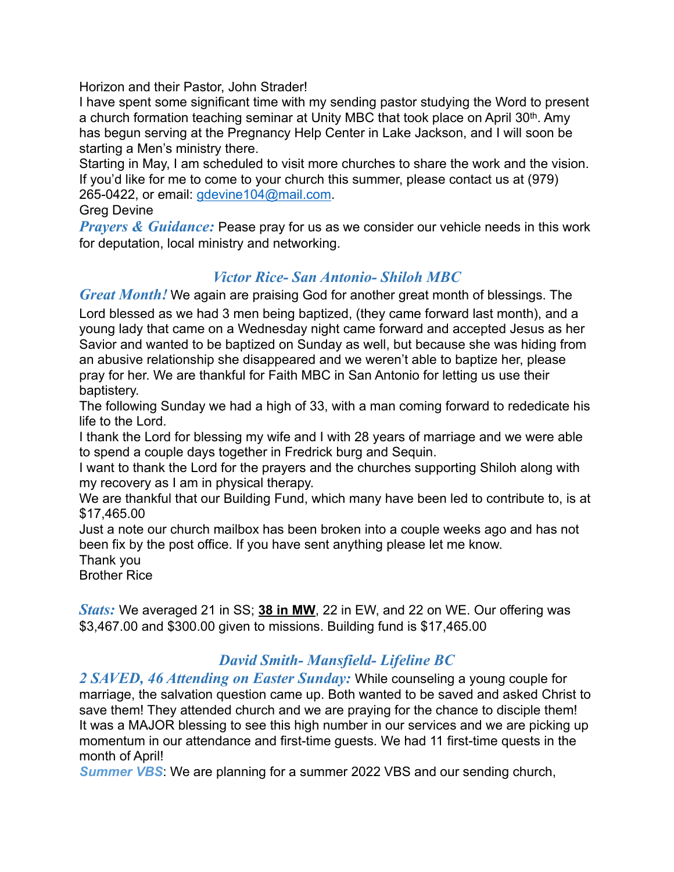Horizon and their Pastor, John Strader!

I have spent some significant time with my sending pastor studying the Word to present a church formation teaching seminar at Unity MBC that took place on April 30th. Amy has begun serving at the Pregnancy Help Center in Lake Jackson, and I will soon be starting a Men's ministry there.

Starting in May, I am scheduled to visit more churches to share the work and the vision. If you'd like for me to come to your church this summer, please contact us at (979) 265-0422, or email: [gdevine104@mail.com.](mailto:gdevine104@mail.com)

Greg Devine

*Prayers & Guidance:* Pease pray for us as we consider our vehicle needs in this work for deputation, local ministry and networking.

# *Victor Rice- San Antonio- Shiloh MBC*

*Great Month!* We again are praising God for another great month of blessings. The Lord blessed as we had 3 men being baptized, (they came forward last month), and a young lady that came on a Wednesday night came forward and accepted Jesus as her Savior and wanted to be baptized on Sunday as well, but because she was hiding from an abusive relationship she disappeared and we weren't able to baptize her, please pray for her. We are thankful for Faith MBC in San Antonio for letting us use their baptistery.

The following Sunday we had a high of 33, with a man coming forward to rededicate his life to the Lord.

I thank the Lord for blessing my wife and I with 28 years of marriage and we were able to spend a couple days together in Fredrick burg and Sequin.

I want to thank the Lord for the prayers and the churches supporting Shiloh along with my recovery as I am in physical therapy.

We are thankful that our Building Fund, which many have been led to contribute to, is at \$17,465.00

Just a note our church mailbox has been broken into a couple weeks ago and has not been fix by the post office. If you have sent anything please let me know.

Thank you

Brother Rice

*Stats:* We averaged 21 in SS; **38 in MW**, 22 in EW, and 22 on WE. Our offering was \$3,467.00 and \$300.00 given to missions. Building fund is \$17,465.00

## *David Smith- Mansfield- Lifeline BC*

*2 SAVED, 46 Attending on Easter Sunday:* While counseling a young couple for marriage, the salvation question came up. Both wanted to be saved and asked Christ to save them! They attended church and we are praying for the chance to disciple them! It was a MAJOR blessing to see this high number in our services and we are picking up momentum in our attendance and first-time guests. We had 11 first-time quests in the month of April!

*Summer VBS*: We are planning for a summer 2022 VBS and our sending church,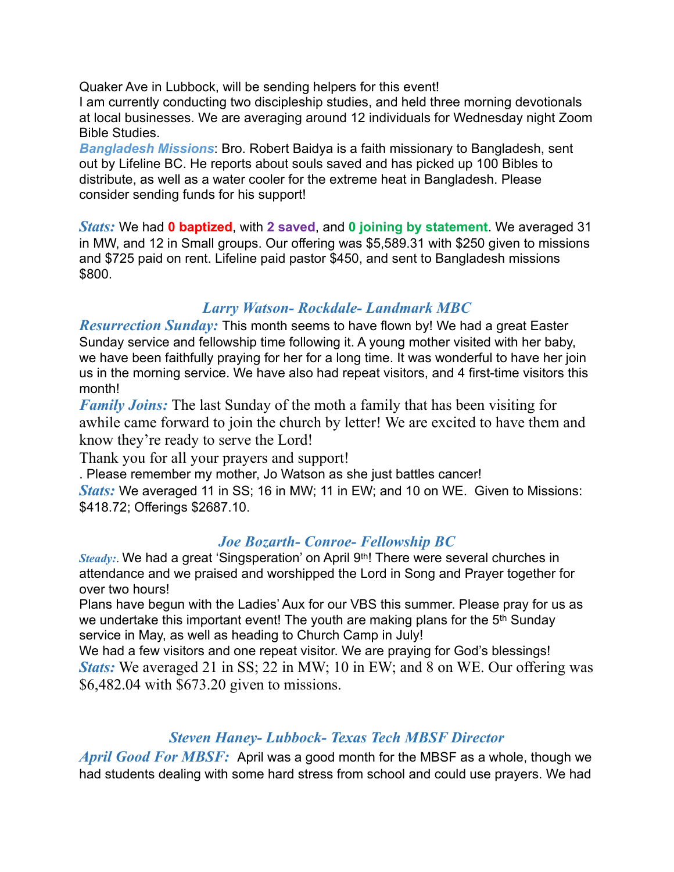Quaker Ave in Lubbock, will be sending helpers for this event! I am currently conducting two discipleship studies, and held three morning devotionals at local businesses. We are averaging around 12 individuals for Wednesday night Zoom Bible Studies.

*Bangladesh Missions*: Bro. Robert Baidya is a faith missionary to Bangladesh, sent out by Lifeline BC. He reports about souls saved and has picked up 100 Bibles to distribute, as well as a water cooler for the extreme heat in Bangladesh. Please consider sending funds for his support!

*Stats:* We had **0 baptized**, with **2 saved**, and **0 joining by statement**. We averaged 31 in MW, and 12 in Small groups. Our offering was \$5,589.31 with \$250 given to missions and \$725 paid on rent. Lifeline paid pastor \$450, and sent to Bangladesh missions \$800.

## *Larry Watson- Rockdale- Landmark MBC*

*Resurrection Sunday:* This month seems to have flown by! We had a great Easter Sunday service and fellowship time following it. A young mother visited with her baby, we have been faithfully praying for her for a long time. It was wonderful to have her join us in the morning service. We have also had repeat visitors, and 4 first-time visitors this month!

*Family Joins:* The last Sunday of the moth a family that has been visiting for awhile came forward to join the church by letter! We are excited to have them and know they're ready to serve the Lord!

Thank you for all your prayers and support!

. Please remember my mother, Jo Watson as she just battles cancer!

*Stats:* We averaged 11 in SS; 16 in MW; 11 in EW; and 10 on WE. Given to Missions: \$418.72; Offerings \$2687.10.

### *Joe Bozarth- Conroe- Fellowship BC*

*Steady:*. We had a great 'Singsperation' on April 9<sup>th</sup>! There were several churches in attendance and we praised and worshipped the Lord in Song and Prayer together for over two hours!

Plans have begun with the Ladies' Aux for our VBS this summer. Please pray for us as we undertake this important event! The youth are making plans for the 5<sup>th</sup> Sunday service in May, as well as heading to Church Camp in July!

We had a few visitors and one repeat visitor. We are praying for God's blessings! *Stats:* We averaged 21 in SS; 22 in MW; 10 in EW; and 8 on WE. Our offering was \$6,482.04 with \$673.20 given to missions.

## *Steven Haney- Lubbock- Texas Tech MBSF Director*

*April Good For MBSF:* April was a good month for the MBSF as a whole, though we had students dealing with some hard stress from school and could use prayers. We had